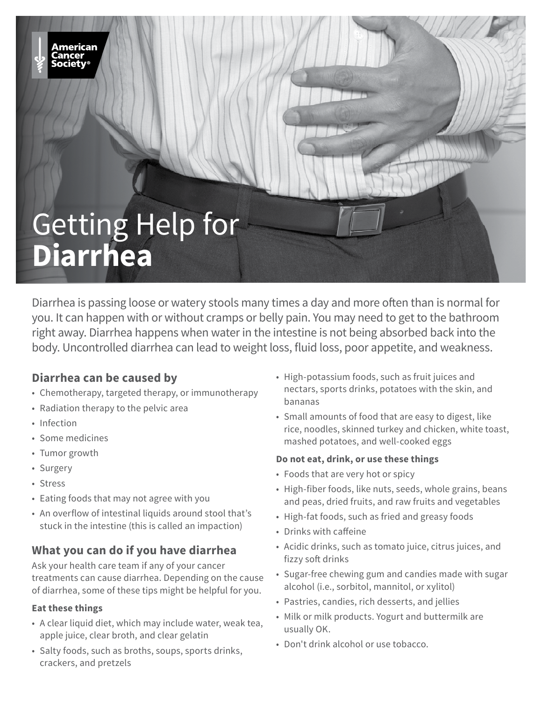# Getting Help for **Diarrhea**

Diarrhea is passing loose or watery stools many times a day and more often than is normal for you. It can happen with or without cramps or belly pain. You may need to get to the bathroom right away. Diarrhea happens when water in the intestine is not being absorbed back into the body. Uncontrolled diarrhea can lead to weight loss, fluid loss, poor appetite, and weakness.

# **Diarrhea can be caused by**

- Chemotherapy, targeted therapy, or immunotherapy
- Radiation therapy to the pelvic area
- Infection
- Some medicines
- Tumor growth
- Surgery
- Stress
- Eating foods that may not agree with you
- An overflow of intestinal liquids around stool that's stuck in the intestine (this is called an impaction)

# **What you can do if you have diarrhea**

Ask your health care team if any of your cancer treatments can cause diarrhea. Depending on the cause of diarrhea, some of these tips might be helpful for you.

#### **Eat these things**

- A clear liquid diet, which may include water, weak tea, apple juice, clear broth, and clear gelatin
- Salty foods, such as broths, soups, sports drinks, crackers, and pretzels
- High-potassium foods, such as fruit juices and nectars, sports drinks, potatoes with the skin, and bananas
- Small amounts of food that are easy to digest, like rice, noodles, skinned turkey and chicken, white toast, mashed potatoes, and well-cooked eggs

#### **Do not eat, drink, or use these things**

- Foods that are very hot or spicy
- High-fiber foods, like nuts, seeds, whole grains, beans and peas, dried fruits, and raw fruits and vegetables
- High-fat foods, such as fried and greasy foods
- Drinks with caffeine
- Acidic drinks, such as tomato juice, citrus juices, and fizzy soft drinks
- Sugar-free chewing gum and candies made with sugar alcohol (i.e., sorbitol, mannitol, or xylitol)
- Pastries, candies, rich desserts, and jellies
- Milk or milk products. Yogurt and buttermilk are usually OK.
- Don't drink alcohol or use tobacco.